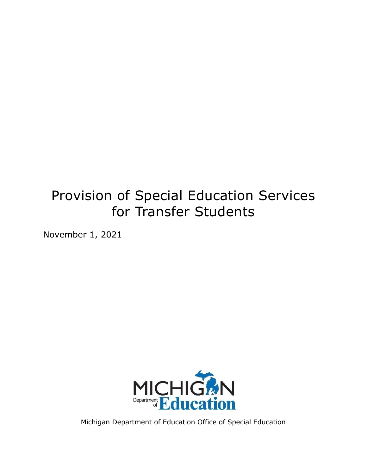# Provision of Special Education Services for Transfer Students

November 1, 2021



Michigan Department of Education Office of Special Education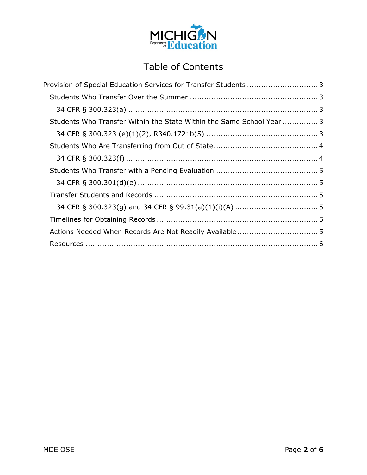

# Table of Contents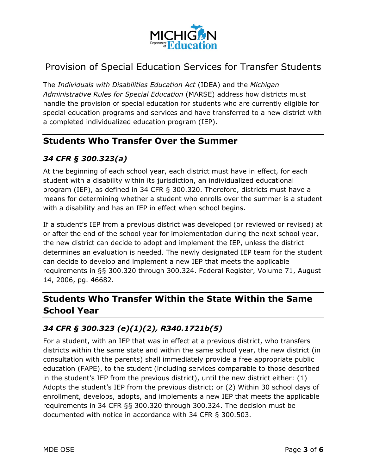

# <span id="page-2-0"></span>Provision of Special Education Services for Transfer Students

The *Individuals with Disabilities Education Act* (IDEA) and the *Michigan Administrative Rules for Special Education* (MARSE) address how districts must handle the provision of special education for students who are currently eligible for special education programs and services and have transferred to a new district with a completed individualized education program (IEP).

#### <span id="page-2-1"></span>**Students Who Transfer Over the Summer**

#### <span id="page-2-2"></span>*34 CFR § 300.323(a)*

At the beginning of each school year, each district must have in effect, for each student with a disability within its jurisdiction, an individualized educational program (IEP), as defined in 34 CFR § 300.320. Therefore, districts must have a means for determining whether a student who enrolls over the summer is a student with a disability and has an IEP in effect when school begins.

If a student's IEP from a previous district was developed (or reviewed or revised) at or after the end of the school year for implementation during the next school year, the new district can decide to adopt and implement the IEP, unless the district determines an evaluation is needed. The newly designated IEP team for the student can decide to develop and implement a new IEP that meets the applicable requirements in §§ 300.320 through 300.324. Federal Register, Volume 71, August 14, 2006, pg. 46682.

# <span id="page-2-3"></span>**Students Who Transfer Within the State Within the Same School Year**

#### <span id="page-2-4"></span>*34 CFR § 300.323 (e)(1)(2), R340.1721b(5)*

For a student, with an IEP that was in effect at a previous district, who transfers districts within the same state and within the same school year, the new district (in consultation with the parents) shall immediately provide a free appropriate public education (FAPE), to the student (including services comparable to those described in the student's IEP from the previous district), until the new district either: (1) Adopts the student's IEP from the previous district; or (2) Within 30 school days of enrollment, develops, adopts, and implements a new IEP that meets the applicable requirements in 34 CFR §§ 300.320 through 300.324. The decision must be documented with notice in accordance with 34 CFR § 300.503.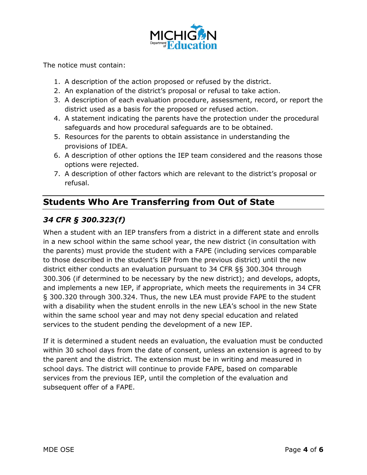

The notice must contain:

- 1. A description of the action proposed or refused by the district.
- 2. An explanation of the district's proposal or refusal to take action.
- 3. A description of each evaluation procedure, assessment, record, or report the district used as a basis for the proposed or refused action.
- 4. A statement indicating the parents have the protection under the procedural safeguards and how procedural safeguards are to be obtained.
- 5. Resources for the parents to obtain assistance in understanding the provisions of IDEA.
- 6. A description of other options the IEP team considered and the reasons those options were rejected.
- 7. A description of other factors which are relevant to the district's proposal or refusal.

# <span id="page-3-0"></span>**Students Who Are Transferring from Out of State**

## <span id="page-3-1"></span>*34 CFR § 300.323(f)*

When a student with an IEP transfers from a district in a different state and enrolls in a new school within the same school year, the new district (in consultation with the parents) must provide the student with a FAPE (including services comparable to those described in the student's IEP from the previous district) until the new district either conducts an evaluation pursuant to 34 CFR §§ 300.304 through 300.306 (if determined to be necessary by the new district); and develops, adopts, and implements a new IEP, if appropriate, which meets the requirements in 34 CFR § 300.320 through 300.324. Thus, the new LEA must provide FAPE to the student with a disability when the student enrolls in the new LEA's school in the new State within the same school year and may not deny special education and related services to the student pending the development of a new IEP.

If it is determined a student needs an evaluation, the evaluation must be conducted within 30 school days from the date of consent, unless an extension is agreed to by the parent and the district. The extension must be in writing and measured in school days. The district will continue to provide FAPE, based on comparable services from the previous IEP, until the completion of the evaluation and subsequent offer of a FAPE.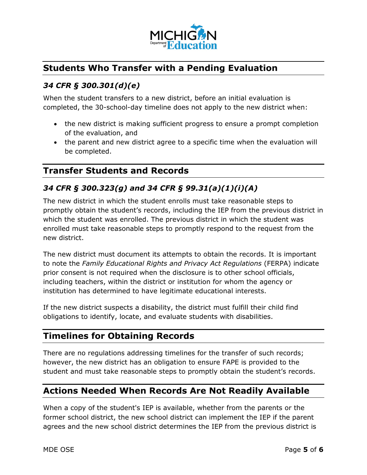

### <span id="page-4-0"></span>**Students Who Transfer with a Pending Evaluation**

#### <span id="page-4-1"></span>*34 CFR § 300.301(d)(e)*

When the student transfers to a new district, before an initial evaluation is completed, the 30-school-day timeline does not apply to the new district when:

- · the new district is making sufficient progress to ensure a prompt completion of the evaluation, and
- · the parent and new district agree to a specific time when the evaluation will be completed.

#### <span id="page-4-2"></span>**Transfer Students and Records**

#### <span id="page-4-3"></span>*34 CFR § 300.323(g) and 34 CFR § 99.31(a)(1)(i)(A)*

The new district in which the student enrolls must take reasonable steps to promptly obtain the student's records, including the IEP from the previous district in which the student was enrolled. The previous district in which the student was enrolled must take reasonable steps to promptly respond to the request from the new district.

The new district must document its attempts to obtain the records. It is important to note the *Family Educational Rights and Privacy Act Regulations* (FERPA) indicate prior consent is not required when the disclosure is to other school officials, including teachers, within the district or institution for whom the agency or institution has determined to have legitimate educational interests.

If the new district suspects a disability, the district must fulfill their child find obligations to identify, locate, and evaluate students with disabilities.

#### <span id="page-4-4"></span>**Timelines for Obtaining Records**

There are no regulations addressing timelines for the transfer of such records; however, the new district has an obligation to ensure FAPE is provided to the student and must take reasonable steps to promptly obtain the student's records.

#### <span id="page-4-5"></span>**Actions Needed When Records Are Not Readily Available**

When a copy of the student's IEP is available, whether from the parents or the former school district, the new school district can implement the IEP if the parent agrees and the new school district determines the IEP from the previous district is